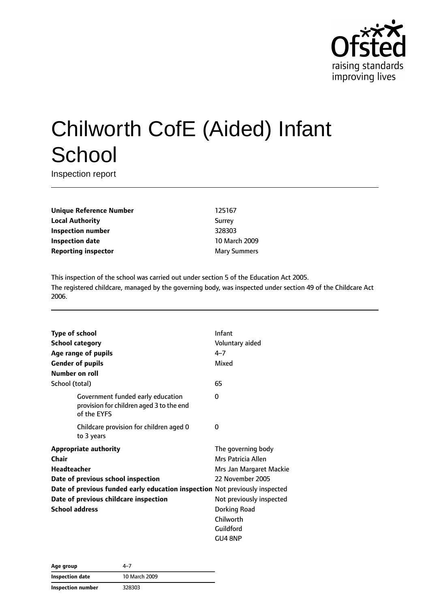

# Chilworth CofE (Aided) Infant **School**

Inspection report

**Unique Reference Number** 125167 **Local Authority** Surrey **Inspection number** 328303 **Inspection date** 10 March 2009 **Reporting inspector** Mary Summers

This inspection of the school was carried out under section 5 of the Education Act 2005. The registered childcare, managed by the governing body, was inspected under section 49 of the Childcare Act 2006.

| Type of school                                                              |                                                                                              | Infant                   |
|-----------------------------------------------------------------------------|----------------------------------------------------------------------------------------------|--------------------------|
| <b>School category</b>                                                      |                                                                                              | Voluntary aided          |
|                                                                             | Age range of pupils                                                                          | $4 - 7$                  |
|                                                                             | <b>Gender of pupils</b>                                                                      | Mixed                    |
| Number on roll                                                              |                                                                                              |                          |
| School (total)                                                              |                                                                                              | 65                       |
|                                                                             | Government funded early education<br>provision for children aged 3 to the end<br>of the EYFS | 0                        |
|                                                                             | Childcare provision for children aged 0<br>to 3 years                                        | 0                        |
| <b>Appropriate authority</b>                                                |                                                                                              | The governing body       |
| <b>Chair</b>                                                                |                                                                                              | Mrs Patricia Allen       |
| Headteacher                                                                 |                                                                                              | Mrs Jan Margaret Mackie  |
|                                                                             | Date of previous school inspection                                                           | 22 November 2005         |
| Date of previous funded early education inspection Not previously inspected |                                                                                              |                          |
| Date of previous childcare inspection                                       |                                                                                              | Not previously inspected |
| <b>School address</b>                                                       |                                                                                              | Dorking Road             |
|                                                                             |                                                                                              | Chilworth                |
|                                                                             |                                                                                              | Guildford                |
|                                                                             |                                                                                              | GU4 8NP                  |

| Age group         | 4–7           |
|-------------------|---------------|
| Inspection date   | 10 March 2009 |
| Inspection number | 328303        |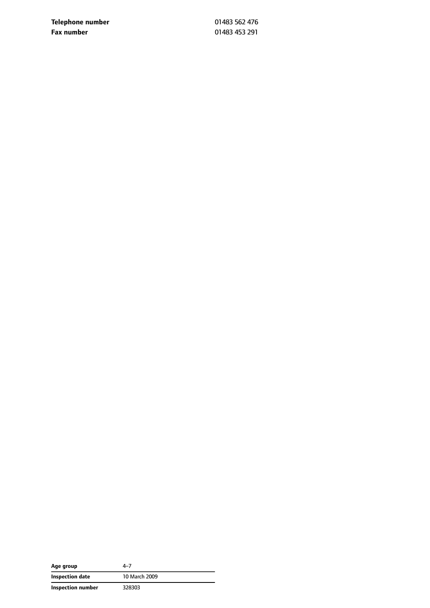**Telephone number** 01483 562 476 **Fax number** 01483 453 291

| Age group         | 4–7           |
|-------------------|---------------|
| Inspection date   | 10 March 2009 |
| Inspection number | 328303        |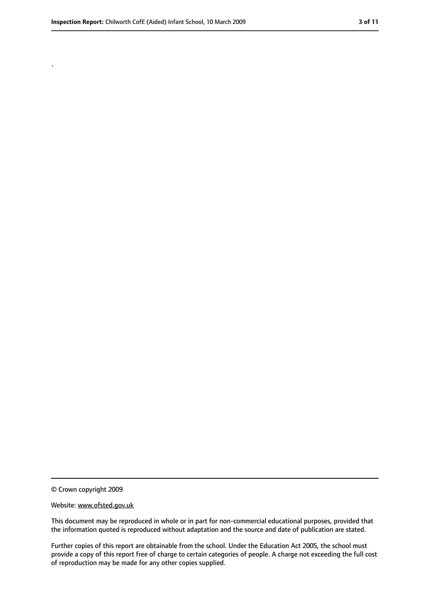.

<sup>©</sup> Crown copyright 2009

Website: www.ofsted.gov.uk

This document may be reproduced in whole or in part for non-commercial educational purposes, provided that the information quoted is reproduced without adaptation and the source and date of publication are stated.

Further copies of this report are obtainable from the school. Under the Education Act 2005, the school must provide a copy of this report free of charge to certain categories of people. A charge not exceeding the full cost of reproduction may be made for any other copies supplied.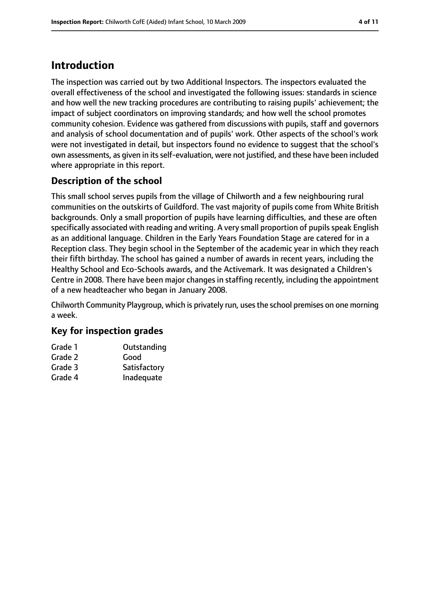## **Introduction**

The inspection was carried out by two Additional Inspectors. The inspectors evaluated the overall effectiveness of the school and investigated the following issues: standards in science and how well the new tracking procedures are contributing to raising pupils' achievement; the impact of subject coordinators on improving standards; and how well the school promotes community cohesion. Evidence was gathered from discussions with pupils, staff and governors and analysis of school documentation and of pupils' work. Other aspects of the school's work were not investigated in detail, but inspectors found no evidence to suggest that the school's own assessments, as given in its self-evaluation, were not justified, and these have been included where appropriate in this report.

## **Description of the school**

This small school serves pupils from the village of Chilworth and a few neighbouring rural communities on the outskirts of Guildford. The vast majority of pupils come from White British backgrounds. Only a small proportion of pupils have learning difficulties, and these are often specifically associated with reading and writing. A very small proportion of pupils speak English as an additional language. Children in the Early Years Foundation Stage are catered for in a Reception class. They begin school in the September of the academic year in which they reach their fifth birthday. The school has gained a number of awards in recent years, including the Healthy School and Eco-Schools awards, and the Activemark. It was designated a Children's Centre in 2008. There have been major changes in staffing recently, including the appointment of a new headteacher who began in January 2008.

Chilworth Community Playgroup, which is privately run, usesthe school premises on one morning a week.

#### **Key for inspection grades**

| Grade 1 | Outstanding  |
|---------|--------------|
| Grade 2 | Good         |
| Grade 3 | Satisfactory |
| Grade 4 | Inadequate   |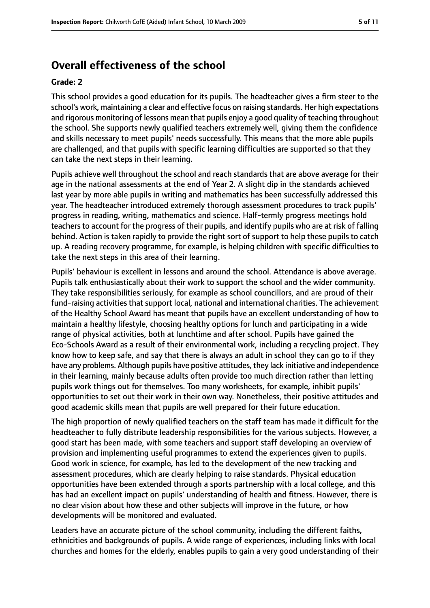## **Overall effectiveness of the school**

#### **Grade: 2**

This school provides a good education for its pupils. The headteacher gives a firm steer to the school's work, maintaining a clear and effective focus on raising standards. Her high expectations and rigorous monitoring of lessons mean that pupils enjoy a good quality of teaching throughout the school. She supports newly qualified teachers extremely well, giving them the confidence and skills necessary to meet pupils' needs successfully. This means that the more able pupils are challenged, and that pupils with specific learning difficulties are supported so that they can take the next steps in their learning.

Pupils achieve well throughout the school and reach standards that are above average for their age in the national assessments at the end of Year 2. A slight dip in the standards achieved last year by more able pupils in writing and mathematics has been successfully addressed this year. The headteacher introduced extremely thorough assessment procedures to track pupils' progress in reading, writing, mathematics and science. Half-termly progress meetings hold teachers to account for the progress of their pupils, and identify pupils who are at risk of falling behind. Action is taken rapidly to provide the right sort of support to help these pupils to catch up. A reading recovery programme, for example, is helping children with specific difficulties to take the next steps in this area of their learning.

Pupils' behaviour is excellent in lessons and around the school. Attendance is above average. Pupils talk enthusiastically about their work to support the school and the wider community. They take responsibilities seriously, for example as school councillors, and are proud of their fund-raising activities that support local, national and international charities. The achievement of the Healthy School Award has meant that pupils have an excellent understanding of how to maintain a healthy lifestyle, choosing healthy options for lunch and participating in a wide range of physical activities, both at lunchtime and after school. Pupils have gained the Eco-Schools Award as a result of their environmental work, including a recycling project. They know how to keep safe, and say that there is always an adult in school they can go to if they have any problems. Although pupils have positive attitudes, they lack initiative and independence in their learning, mainly because adults often provide too much direction rather than letting pupils work things out for themselves. Too many worksheets, for example, inhibit pupils' opportunities to set out their work in their own way. Nonetheless, their positive attitudes and good academic skills mean that pupils are well prepared for their future education.

The high proportion of newly qualified teachers on the staff team has made it difficult for the headteacher to fully distribute leadership responsibilities for the various subjects. However, a good start has been made, with some teachers and support staff developing an overview of provision and implementing useful programmes to extend the experiences given to pupils. Good work in science, for example, has led to the development of the new tracking and assessment procedures, which are clearly helping to raise standards. Physical education opportunities have been extended through a sports partnership with a local college, and this has had an excellent impact on pupils' understanding of health and fitness. However, there is no clear vision about how these and other subjects will improve in the future, or how developments will be monitored and evaluated.

Leaders have an accurate picture of the school community, including the different faiths, ethnicities and backgrounds of pupils. A wide range of experiences, including links with local churches and homes for the elderly, enables pupils to gain a very good understanding of their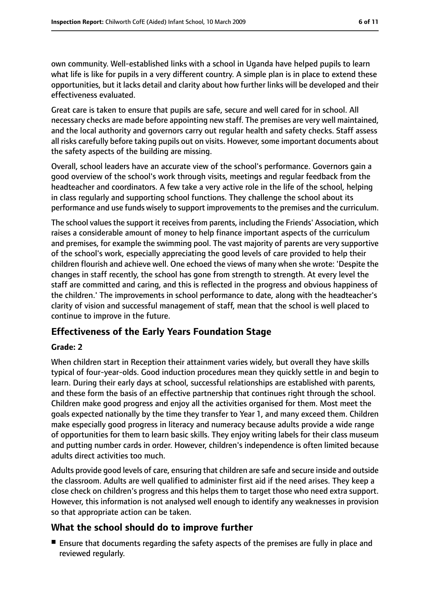own community. Well-established links with a school in Uganda have helped pupils to learn what life is like for pupils in a very different country. A simple plan is in place to extend these opportunities, but it lacks detail and clarity about how further links will be developed and their effectiveness evaluated.

Great care is taken to ensure that pupils are safe, secure and well cared for in school. All necessary checks are made before appointing new staff. The premises are very well maintained, and the local authority and governors carry out regular health and safety checks. Staff assess all risks carefully before taking pupils out on visits. However, some important documents about the safety aspects of the building are missing.

Overall, school leaders have an accurate view of the school's performance. Governors gain a good overview of the school's work through visits, meetings and regular feedback from the headteacher and coordinators. A few take a very active role in the life of the school, helping in class regularly and supporting school functions. They challenge the school about its performance and use funds wisely to support improvements to the premises and the curriculum.

The school values the support it receives from parents, including the Friends' Association, which raises a considerable amount of money to help finance important aspects of the curriculum and premises, for example the swimming pool. The vast majority of parents are very supportive of the school's work, especially appreciating the good levels of care provided to help their children flourish and achieve well. One echoed the views of many when she wrote: 'Despite the changes in staff recently, the school has gone from strength to strength. At every level the staff are committed and caring, and this is reflected in the progress and obvious happiness of the children.' The improvements in school performance to date, along with the headteacher's clarity of vision and successful management of staff, mean that the school is well placed to continue to improve in the future.

## **Effectiveness of the Early Years Foundation Stage**

#### **Grade: 2**

When children start in Reception their attainment varies widely, but overall they have skills typical of four-year-olds. Good induction procedures mean they quickly settle in and begin to learn. During their early days at school, successful relationships are established with parents, and these form the basis of an effective partnership that continues right through the school. Children make good progress and enjoy all the activities organised for them. Most meet the goals expected nationally by the time they transfer to Year 1, and many exceed them. Children make especially good progress in literacy and numeracy because adults provide a wide range of opportunities for them to learn basic skills. They enjoy writing labels for their class museum and putting number cards in order. However, children's independence is often limited because adults direct activities too much.

Adults provide good levels of care, ensuring that children are safe and secure inside and outside the classroom. Adults are well qualified to administer first aid if the need arises. They keep a close check on children's progress and this helps them to target those who need extra support. However, this information is not analysed well enough to identify any weaknesses in provision so that appropriate action can be taken.

## **What the school should do to improve further**

■ Ensure that documents regarding the safety aspects of the premises are fully in place and reviewed regularly.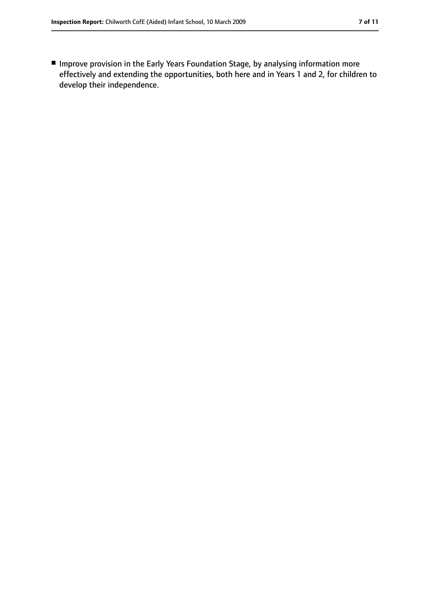■ Improve provision in the Early Years Foundation Stage, by analysing information more effectively and extending the opportunities, both here and in Years 1 and 2, for children to develop their independence.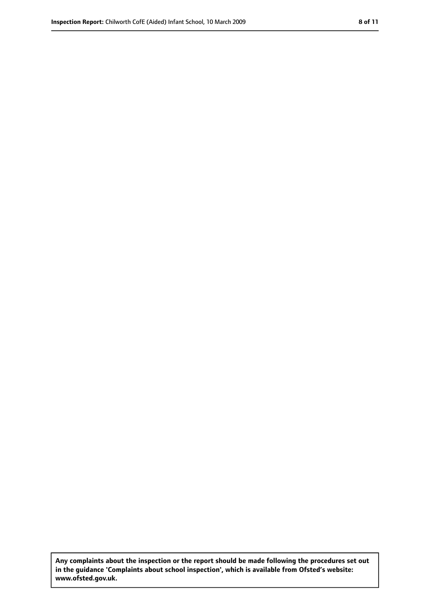**Any complaints about the inspection or the report should be made following the procedures set out in the guidance 'Complaints about school inspection', which is available from Ofsted's website: www.ofsted.gov.uk.**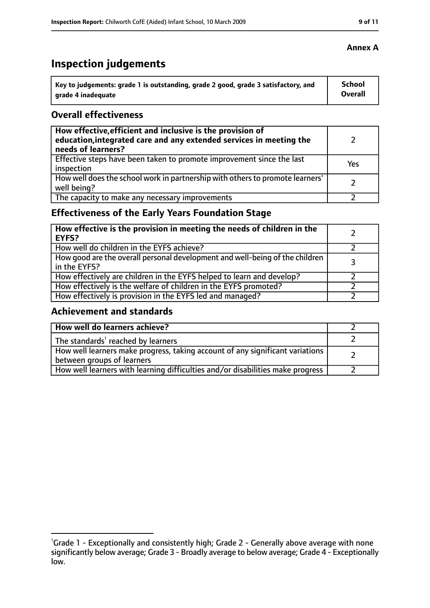# **Inspection judgements**

| Key to judgements: grade 1 is outstanding, grade 2 good, grade 3 satisfactory, and | School  |
|------------------------------------------------------------------------------------|---------|
| arade 4 inadequate                                                                 | Overall |

### **Overall effectiveness**

| How effective, efficient and inclusive is the provision of<br>education, integrated care and any extended services in meeting the<br>needs of learners? |     |
|---------------------------------------------------------------------------------------------------------------------------------------------------------|-----|
| Effective steps have been taken to promote improvement since the last<br>inspection                                                                     | Yes |
| How well does the school work in partnership with others to promote learners'<br>well being?                                                            |     |
| The capacity to make any necessary improvements                                                                                                         |     |

## **Effectiveness of the Early Years Foundation Stage**

| How effective is the provision in meeting the needs of children in the<br><b>EYFS?</b>       |   |
|----------------------------------------------------------------------------------------------|---|
| How well do children in the EYFS achieve?                                                    |   |
| How good are the overall personal development and well-being of the children<br>in the EYFS? | 3 |
| How effectively are children in the EYFS helped to learn and develop?                        |   |
| How effectively is the welfare of children in the EYFS promoted?                             |   |
| How effectively is provision in the EYFS led and managed?                                    |   |

## **Achievement and standards**

| How well do learners achieve?                                                                               |  |
|-------------------------------------------------------------------------------------------------------------|--|
| The standards <sup>1</sup> reached by learners                                                              |  |
| How well learners make progress, taking account of any significant variations<br>between groups of learners |  |
| How well learners with learning difficulties and/or disabilities make progress                              |  |

<sup>&</sup>lt;sup>1</sup>Grade 1 - Exceptionally and consistently high; Grade 2 - Generally above average with none significantly below average; Grade 3 - Broadly average to below average; Grade 4 - Exceptionally low.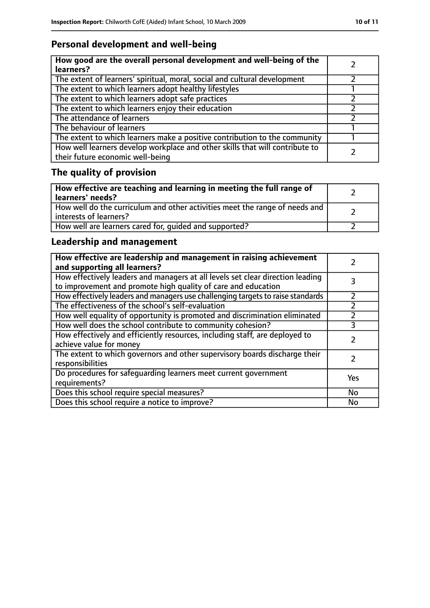## **Personal development and well-being**

| How good are the overall personal development and well-being of the<br>learners?                                 |  |
|------------------------------------------------------------------------------------------------------------------|--|
| The extent of learners' spiritual, moral, social and cultural development                                        |  |
| The extent to which learners adopt healthy lifestyles                                                            |  |
| The extent to which learners adopt safe practices                                                                |  |
| The extent to which learners enjoy their education                                                               |  |
| The attendance of learners                                                                                       |  |
| The behaviour of learners                                                                                        |  |
| The extent to which learners make a positive contribution to the community                                       |  |
| How well learners develop workplace and other skills that will contribute to<br>their future economic well-being |  |

# **The quality of provision**

| How effective are teaching and learning in meeting the full range of<br>learners' needs?              |  |
|-------------------------------------------------------------------------------------------------------|--|
| How well do the curriculum and other activities meet the range of needs and<br>interests of learners? |  |
| How well are learners cared for, quided and supported?                                                |  |

## **Leadership and management**

| How effective are leadership and management in raising achievement<br>and supporting all learners?                                              |     |
|-------------------------------------------------------------------------------------------------------------------------------------------------|-----|
| How effectively leaders and managers at all levels set clear direction leading<br>to improvement and promote high quality of care and education |     |
| How effectively leaders and managers use challenging targets to raise standards                                                                 |     |
| The effectiveness of the school's self-evaluation                                                                                               |     |
| How well equality of opportunity is promoted and discrimination eliminated                                                                      |     |
| How well does the school contribute to community cohesion?                                                                                      | 3   |
| How effectively and efficiently resources, including staff, are deployed to<br>achieve value for money                                          |     |
| The extent to which governors and other supervisory boards discharge their<br>responsibilities                                                  |     |
| Do procedures for safequarding learners meet current government<br>requirements?                                                                | Yes |
| Does this school require special measures?                                                                                                      | No  |
| Does this school require a notice to improve?                                                                                                   | No  |